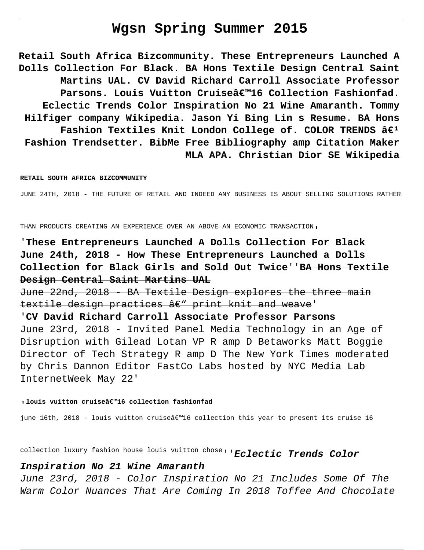# **Wgsn Spring Summer 2015**

**Retail South Africa Bizcommunity. These Entrepreneurs Launched A Dolls Collection For Black. BA Hons Textile Design Central Saint Martins UAL. CV David Richard Carroll Associate Professor** Parsons. Louis Vuitton Cruiseâ€<sup>™16</sup> Collection Fashionfad. **Eclectic Trends Color Inspiration No 21 Wine Amaranth. Tommy Hilfiger company Wikipedia. Jason Yi Bing Lin s Resume. BA Hons** Fashion Textiles Knit London College of. COLOR TRENDS  $\hat{a}\epsilon^1$ **Fashion Trendsetter. BibMe Free Bibliography amp Citation Maker MLA APA. Christian Dior SE Wikipedia**

#### **RETAIL SOUTH AFRICA BIZCOMMUNITY**

JUNE 24TH, 2018 - THE FUTURE OF RETAIL AND INDEED ANY BUSINESS IS ABOUT SELLING SOLUTIONS RATHER

THAN PRODUCTS CREATING AN EXPERIENCE OVER AN ABOVE AN ECONOMIC TRANSACTION'

'**These Entrepreneurs Launched A Dolls Collection For Black June 24th, 2018 - How These Entrepreneurs Launched a Dolls Collection for Black Girls and Sold Out Twice**''**BA Hons Textile Design Central Saint Martins UAL**

June 22nd, 2018 - BA Textile Design explores the three main textile design practices  $\hat{a} \in \mathbb{N}$  print knit and weave'

'**CV David Richard Carroll Associate Professor Parsons** June 23rd, 2018 - Invited Panel Media Technology in an Age of Disruption with Gilead Lotan VP R amp D Betaworks Matt Boggie Director of Tech Strategy R amp D The New York Times moderated by Chris Dannon Editor FastCo Labs hosted by NYC Media Lab InternetWeek May 22'

#### **, louis vuitton cruise'16 collection fashionfad**

june 16th, 2018 - louis vuitton cruiseâ $\varepsilon^{m}$ 16 collection this year to present its cruise 16

collection luxury fashion house louis vuitton chose''**Eclectic Trends Color**

#### **Inspiration No 21 Wine Amaranth**

June 23rd, 2018 - Color Inspiration No 21 Includes Some Of The Warm Color Nuances That Are Coming In 2018 Toffee And Chocolate